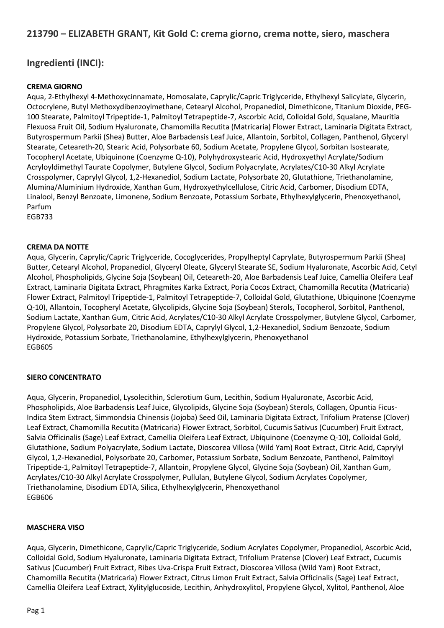# Ingredienti (INCI):

## CREMA GIORNO

Aqua, 2-Ethylhexyl 4-Methoxycinnamate, Homosalate, Caprylic/Capric Triglyceride, Ethylhexyl Salicylate, Glycerin, Octocrylene, Butyl Methoxydibenzoylmethane, Cetearyl Alcohol, Propanediol, Dimethicone, Titanium Dioxide, PEG-100 Stearate, Palmitoyl Tripeptide-1, Palmitoyl Tetrapeptide-7, Ascorbic Acid, Colloidal Gold, Squalane, Mauritia Flexuosa Fruit Oil, Sodium Hyaluronate, Chamomilla Recutita (Matricaria) Flower Extract, Laminaria Digitata Extract, Butyrospermum Parkii (Shea) Butter, Aloe Barbadensis Leaf Juice, Allantoin, Sorbitol, Collagen, Panthenol, Glyceryl Stearate, Ceteareth-20, Stearic Acid, Polysorbate 60, Sodium Acetate, Propylene Glycol, Sorbitan Isostearate, Tocopheryl Acetate, Ubiquinone (Coenzyme Q-10), Polyhydroxystearic Acid, Hydroxyethyl Acrylate/Sodium Acryloyldimethyl Taurate Copolymer, Butylene Glycol, Sodium Polyacrylate, Acrylates/C10-30 Alkyl Acrylate Crosspolymer, Caprylyl Glycol, 1,2-Hexanediol, Sodium Lactate, Polysorbate 20, Glutathione, Triethanolamine, Alumina/Aluminium Hydroxide, Xanthan Gum, Hydroxyethylcellulose, Citric Acid, Carbomer, Disodium EDTA, Linalool, Benzyl Benzoate, Limonene, Sodium Benzoate, Potassium Sorbate, Ethylhexylglycerin, Phenoxyethanol, Parfum

EGB733

### CREMA DA NOTTE

Aqua, Glycerin, Caprylic/Capric Triglyceride, Cocoglycerides, Propylheptyl Caprylate, Butyrospermum Parkii (Shea) Butter, Cetearyl Alcohol, Propanediol, Glyceryl Oleate, Glyceryl Stearate SE, Sodium Hyaluronate, Ascorbic Acid, Cetyl Alcohol, Phospholipids, Glycine Soja (Soybean) Oil, Ceteareth-20, Aloe Barbadensis Leaf Juice, Camellia Oleifera Leaf Extract, Laminaria Digitata Extract, Phragmites Karka Extract, Poria Cocos Extract, Chamomilla Recutita (Matricaria) Flower Extract, Palmitoyl Tripeptide-1, Palmitoyl Tetrapeptide-7, Colloidal Gold, Glutathione, Ubiquinone (Coenzyme Q-10), Allantoin, Tocopheryl Acetate, Glycolipids, Glycine Soja (Soybean) Sterols, Tocopherol, Sorbitol, Panthenol, Sodium Lactate, Xanthan Gum, Citric Acid, Acrylates/C10-30 Alkyl Acrylate Crosspolymer, Butylene Glycol, Carbomer, Propylene Glycol, Polysorbate 20, Disodium EDTA, Caprylyl Glycol, 1,2-Hexanediol, Sodium Benzoate, Sodium Hydroxide, Potassium Sorbate, Triethanolamine, Ethylhexylglycerin, Phenoxyethanol EGB605

### SIERO CONCENTRATO

Aqua, Glycerin, Propanediol, Lysolecithin, Sclerotium Gum, Lecithin, Sodium Hyaluronate, Ascorbic Acid, Phospholipids, Aloe Barbadensis Leaf Juice, Glycolipids, Glycine Soja (Soybean) Sterols, Collagen, Opuntia Ficus-Indica Stem Extract, Simmondsia Chinensis (Jojoba) Seed Oil, Laminaria Digitata Extract, Trifolium Pratense (Clover) Leaf Extract, Chamomilla Recutita (Matricaria) Flower Extract, Sorbitol, Cucumis Sativus (Cucumber) Fruit Extract, Salvia Officinalis (Sage) Leaf Extract, Camellia Oleifera Leaf Extract, Ubiquinone (Coenzyme Q-10), Colloidal Gold, Glutathione, Sodium Polyacrylate, Sodium Lactate, Dioscorea Villosa (Wild Yam) Root Extract, Citric Acid, Caprylyl Glycol, 1,2-Hexanediol, Polysorbate 20, Carbomer, Potassium Sorbate, Sodium Benzoate, Panthenol, Palmitoyl Tripeptide-1, Palmitoyl Tetrapeptide-7, Allantoin, Propylene Glycol, Glycine Soja (Soybean) Oil, Xanthan Gum, Acrylates/C10-30 Alkyl Acrylate Crosspolymer, Pullulan, Butylene Glycol, Sodium Acrylates Copolymer, Triethanolamine, Disodium EDTA, Silica, Ethylhexylglycerin, Phenoxyethanol EGB606

### MASCHERA VISO

Aqua, Glycerin, Dimethicone, Caprylic/Capric Triglyceride, Sodium Acrylates Copolymer, Propanediol, Ascorbic Acid, Colloidal Gold, Sodium Hyaluronate, Laminaria Digitata Extract, Trifolium Pratense (Clover) Leaf Extract, Cucumis Sativus (Cucumber) Fruit Extract, Ribes Uva-Crispa Fruit Extract, Dioscorea Villosa (Wild Yam) Root Extract, Chamomilla Recutita (Matricaria) Flower Extract, Citrus Limon Fruit Extract, Salvia Officinalis (Sage) Leaf Extract, Camellia Oleifera Leaf Extract, Xylitylglucoside, Lecithin, Anhydroxylitol, Propylene Glycol, Xylitol, Panthenol, Aloe